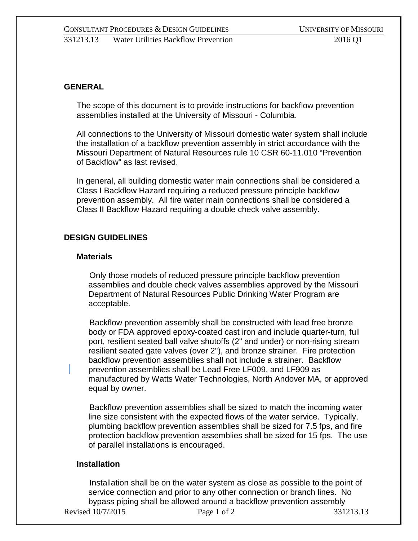### **GENERAL**

The scope of this document is to provide instructions for backflow prevention assemblies installed at the University of Missouri - Columbia.

All connections to the University of Missouri domestic water system shall include the installation of a backflow prevention assembly in strict accordance with the Missouri Department of Natural Resources rule 10 CSR 60-11.010 "Prevention of Backflow" as last revised.

In general, all building domestic water main connections shall be considered a Class I Backflow Hazard requiring a reduced pressure principle backflow prevention assembly. All fire water main connections shall be considered a Class II Backflow Hazard requiring a double check valve assembly.

### **DESIGN GUIDELINES**

#### **Materials**

Only those models of reduced pressure principle backflow prevention assemblies and double check valves assemblies approved by the Missouri Department of Natural Resources Public Drinking Water Program are acceptable.

Backflow prevention assembly shall be constructed with lead free bronze body or FDA approved epoxy-coated cast iron and include quarter-turn, full port, resilient seated ball valve shutoffs (2" and under) or non-rising stream resilient seated gate valves (over 2"), and bronze strainer. Fire protection backflow prevention assemblies shall not include a strainer. Backflow prevention assemblies shall be Lead Free LF009, and LF909 as manufactured by Watts Water Technologies, North Andover MA, or approved equal by owner.

Backflow prevention assemblies shall be sized to match the incoming water line size consistent with the expected flows of the water service. Typically, plumbing backflow prevention assemblies shall be sized for 7.5 fps, and fire protection backflow prevention assemblies shall be sized for 15 fps. The use of parallel installations is encouraged.

### **Installation**

Revised 10/7/2015 Page 1 of 2 331213.13 Installation shall be on the water system as close as possible to the point of service connection and prior to any other connection or branch lines. No bypass piping shall be allowed around a backflow prevention assembly